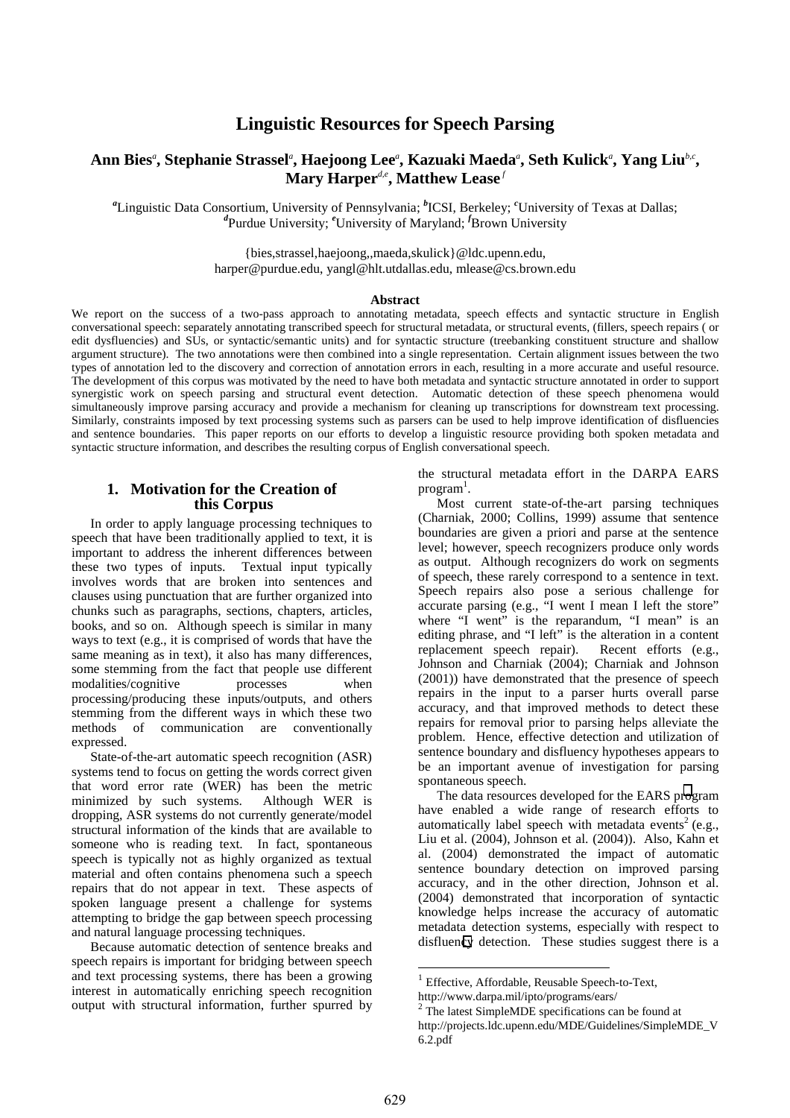# **Linguistic Resources for Speech Parsing**

# **Ann Bies***<sup>a</sup>* **, Stephanie Strassel***<sup>a</sup>* **, Haejoong Lee***<sup>a</sup>* **, Kazuaki Maeda***<sup>a</sup>* **, Seth Kulick***<sup>a</sup>* **, Yang Liu***b,c***, Mary Harper<sup>***d***,e</sup>, Matthew Lease**<sup>*f*</sup>

*a* Linguistic Data Consortium, University of Pennsylvania; *<sup>b</sup>* ICSI, Berkeley; *<sup>c</sup>* University of Texas at Dallas; *d* Purdue University; *<sup>e</sup>* University of Maryland; *<sup>f</sup>* Brown University

> {bies,strassel,haejoong,,maeda,skulick}@ldc.upenn.edu, harper@purdue.edu, yangl@hlt.utdallas.edu, mlease@cs.brown.edu

#### **Abstract**

We report on the success of a two-pass approach to annotating metadata, speech effects and syntactic structure in English conversational speech: separately annotating transcribed speech for structural metadata, or structural events, (fillers, speech repairs ( or edit dysfluencies) and SUs, or syntactic/semantic units) and for syntactic structure (treebanking constituent structure and shallow argument structure). The two annotations were then combined into a single representation. Certain alignment issues between the two types of annotation led to the discovery and correction of annotation errors in each, resulting in a more accurate and useful resource. The development of this corpus was motivated by the need to have both metadata and syntactic structure annotated in order to support synergistic work on speech parsing and structural event detection. Automatic detection of these speech phenomena would simultaneously improve parsing accuracy and provide a mechanism for cleaning up transcriptions for downstream text processing. Similarly, constraints imposed by text processing systems such as parsers can be used to help improve identification of disfluencies and sentence boundaries. This paper reports on our efforts to develop a linguistic resource providing both spoken metadata and syntactic structure information, and describes the resulting corpus of English conversational speech.

### **1. Motivation for the Creation of this Corpus**

In order to apply language processing techniques to speech that have been traditionally applied to text, it is important to address the inherent differences between these two types of inputs. Textual input typically involves words that are broken into sentences and clauses using punctuation that are further organized into chunks such as paragraphs, sections, chapters, articles, books, and so on. Although speech is similar in many ways to text (e.g., it is comprised of words that have the same meaning as in text), it also has many differences, some stemming from the fact that people use different modalities/cognitive processes when processing/producing these inputs/outputs, and others stemming from the different ways in which these two methods of communication are conventionally expressed.

State-of-the-art automatic speech recognition (ASR) systems tend to focus on getting the words correct given that word error rate (WER) has been the metric minimized by such systems. Although WER is dropping, ASR systems do not currently generate/model structural information of the kinds that are available to someone who is reading text. In fact, spontaneous speech is typically not as highly organized as textual material and often contains phenomena such a speech repairs that do not appear in text. These aspects of spoken language present a challenge for systems attempting to bridge the gap between speech processing and natural language processing techniques.

Because automatic detection of sentence breaks and speech repairs is important for bridging between speech and text processing systems, there has been a growing interest in automatically enriching speech recognition output with structural information, further spurred by the structural metadata effort in the DARPA EARS  $program<sup>1</sup>$ .

Most current state-of-the-art parsing techniques (Charniak, 2000; Collins, 1999) assume that sentence boundaries are given a priori and parse at the sentence level; however, speech recognizers produce only words as output. Although recognizers do work on segments of speech, these rarely correspond to a sentence in text. Speech repairs also pose a serious challenge for accurate parsing (e.g., "I went I mean I left the store" where "I went" is the reparandum, "I mean" is an editing phrase, and "I left" is the alteration in a content replacement speech repair). Recent efforts (e.g., Johnson and Charniak (2004); Charniak and Johnson (2001)) have demonstrated that the presence of speech repairs in the input to a parser hurts overall parse accuracy, and that improved methods to detect these repairs for removal prior to parsing helps alleviate the problem. Hence, effective detection and utilization of sentence boundary and disfluency hypotheses appears to be an important avenue of investigation for parsing spontaneous speech.

The data resources developed for the EARS program have enabled a wide range of research efforts to automatically label speech with metadata events<sup>2</sup> (e.g., Liu et al. (2004), Johnson et al. (2004)). Also, Kahn et al. (2004) demonstrated the impact of automatic sentence boundary detection on improved parsing accuracy, and in the other direction, Johnson et al. (2004) demonstrated that incorporation of syntactic knowledge helps increase the accuracy of automatic metadata detection systems, especially with respect to disfluency detection. These studies suggest there is a

l

<sup>&</sup>lt;sup>1</sup> Effective, Affordable, Reusable Speech-to-Text,

http://www.darpa.mil/ipto/programs/ears/

 $2^2$  The latest SimpleMDE specifications can be found at http://projects.ldc.upenn.edu/MDE/Guidelines/SimpleMDE\_V  $6.2.pdf$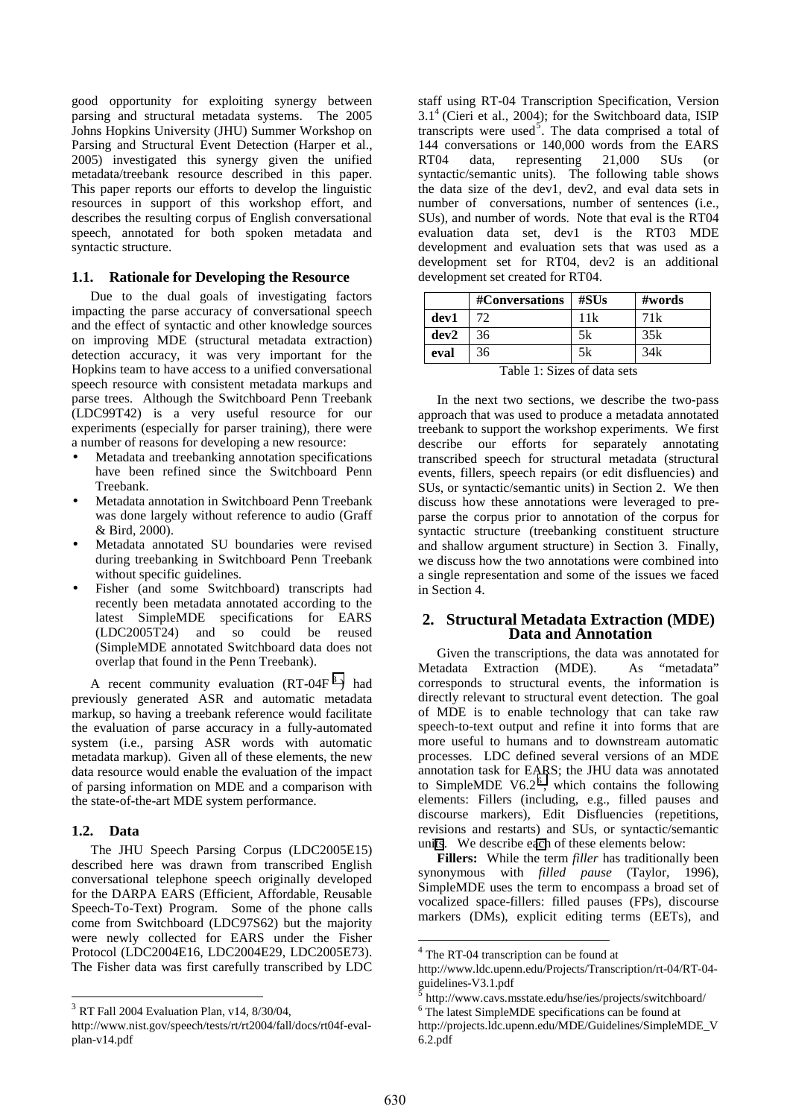good opportunity for exploiting synergy between parsing and structural metadata systems. The 2005 Johns Hopkins University (JHU) Summer Workshop on Parsing and Structural Event Detection (Harper et al., 2005) investigated this synergy given the unified metadata/treebank resource described in this paper. This paper reports our efforts to develop the linguistic resources in support of this workshop effort, and describes the resulting corpus of English conversational speech, annotated for both spoken metadata and syntactic structure.

#### **1.1. Rationale for Developing the Resource**

Due to the dual goals of investigating factors impacting the parse accuracy of conversational speech and the effect of syntactic and other knowledge sources on improving MDE (structural metadata extraction) detection accuracy, it was very important for the Hopkins team to have access to a unified conversational speech resource with consistent metadata markups and parse trees. Although the Switchboard Penn Treebank (LDC99T42) is a very useful resource for our experiments (especially for parser training), there were a number of reasons for developing a new resource:

- Metadata and treebanking annotation specifications have been refined since the Switchboard Penn Treebank.
- Metadata annotation in Switchboard Penn Treebank was done largely without reference to audio (Graff & Bird, 2000).
- Metadata annotated SU boundaries were revised during treebanking in Switchboard Penn Treebank without specific guidelines.
- Fisher (and some Switchboard) transcripts had recently been metadata annotated according to the latest SimpleMDE specifications for EARS (LDC2005T24) and so could be reused (SimpleMDE annotated Switchboard data does not overlap that found in the Penn Treebank).

A recent community evaluation  $(RT-04F^3)$  had previously generated ASR and automatic metadata markup, so having a treebank reference would facilitate the evaluation of parse accuracy in a fully-automated system (i.e., parsing ASR words with automatic metadata markup). Given all of these elements, the new data resource would enable the evaluation of the impact of parsing information on MDE and a comparison with the state-of-the-art MDE system performance.

#### **1.2. Data**

The JHU Speech Parsing Corpus (LDC2005E15) described here was drawn from transcribed English conversational telephone speech originally developed for the DARPA EARS (Efficient, Affordable, Reusable Speech-To-Text) Program. Some of the phone calls come from Switchboard (LDC97S62) but the majority were newly collected for EARS under the Fisher Protocol (LDC2004E16, LDC2004E29, LDC2005E73). The Fisher data was first carefully transcribed by LDC staff using RT-04 Transcription Specification, Version 3.14 (Cieri et al., 2004); for the Switchboard data, ISIP transcripts were used<sup>5</sup>. The data comprised a total of 144 conversations or 140,000 words from the EARS RT04 data, representing 21,000 SUs (or syntactic/semantic units). The following table shows the data size of the dev1, dev2, and eval data sets in number of conversations, number of sentences (i.e., SUs), and number of words. Note that eval is the RT04 evaluation data set, dev1 is the RT03 MDE development and evaluation sets that was used as a development set for RT04, dev2 is an additional development set created for RT04.

|                             | #Conversations | $\#$ SUs | $\#words$ |
|-----------------------------|----------------|----------|-----------|
| dev1                        | 72             | 11k      | 71k       |
| dev2                        | 36             | 5k       | 35k       |
| eval                        | 36             | 5k       | 34k       |
| Table 1. Grass of data sate |                |          |           |

Table 1: Sizes of data sets

In the next two sections, we describe the two-pass approach that was used to produce a metadata annotated treebank to support the workshop experiments. We first describe our efforts for separately annotating transcribed speech for structural metadata (structural events, fillers, speech repairs (or edit disfluencies) and SUs, or syntactic/semantic units) in Section 2. We then discuss how these annotations were leveraged to preparse the corpus prior to annotation of the corpus for syntactic structure (treebanking constituent structure and shallow argument structure) in Section 3. Finally, we discuss how the two annotations were combined into a single representation and some of the issues we faced in Section 4.

#### **2. Structural Metadata Extraction (MDE) Data and Annotation**

Given the transcriptions, the data was annotated for tadata Extraction (MDE). As "metadata" Metadata Extraction (MDE). corresponds to structural events, the information is directly relevant to structural event detection. The goal of MDE is to enable technology that can take raw speech-to-text output and refine it into forms that are more useful to humans and to downstream automatic processes. LDC defined several versions of an MDE annotation task for EARS; the JHU data was annotated to SimpleMDE V6.2 $<sup>6</sup>$ , which contains the following</sup> elements: Fillers (including, e.g., filled pauses and discourse markers), Edit Disfluencies (repetitions, revisions and restarts) and SUs, or syntactic/semantic units. We describe each of these elements below:

**Fillers:** While the term *filler* has traditionally been synonymous with *filled pause* (Taylor, 1996), SimpleMDE uses the term to encompass a broad set of vocalized space-fillers: filled pauses (FPs), discourse markers (DMs), explicit editing terms (EETs), and

l

<sup>3</sup> RT Fall 2004 Evaluation Plan, v14, 8/30/04,

http://www.nist.gov/speech/tests/rt/rt2004/fall/docs/rt04f-evalplan-v14.pdf

 $4$  The RT-04 transcription can be found at

http://www.ldc.upenn.edu/Projects/Transcription/rt-04/RT-04 guidelines-V3.1.pdf

<sup>5</sup> http://www.cavs.msstate.edu/hse/ies/projects/switchboard/

<sup>6</sup> The latest SimpleMDE specifications can be found at

http://projects.ldc.upenn.edu/MDE/Guidelines/SimpleMDE\_V 6.2.pdf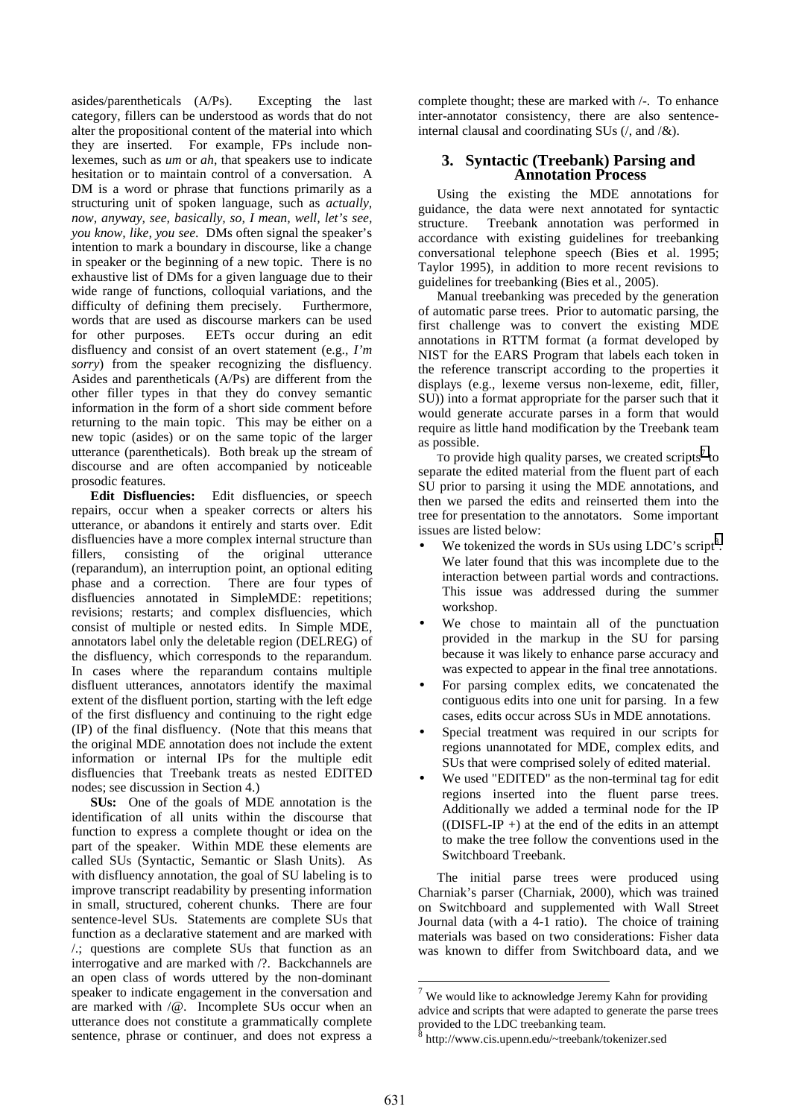asides/parentheticals (A/Ps). Excepting the last category, fillers can be understood as words that do not alter the propositional content of the material into which they are inserted. For example, FPs include nonlexemes, such as *um* or *ah*, that speakers use to indicate hesitation or to maintain control of a conversation. A DM is a word or phrase that functions primarily as a structuring unit of spoken language, such as *actually, now, anyway, see, basically, so, I mean, well, let's see, you know, like, you see*. DMs often signal the speaker's intention to mark a boundary in discourse, like a change in speaker or the beginning of a new topic. There is no exhaustive list of DMs for a given language due to their wide range of functions, colloquial variations, and the difficulty of defining them precisely. Furthermore, words that are used as discourse markers can be used for other purposes. EETs occur during an edit disfluency and consist of an overt statement (e.g., *I'm sorry*) from the speaker recognizing the disfluency. Asides and parentheticals (A/Ps) are different from the other filler types in that they do convey semantic information in the form of a short side comment before returning to the main topic. This may be either on a new topic (asides) or on the same topic of the larger utterance (parentheticals). Both break up the stream of discourse and are often accompanied by noticeable prosodic features.

**Edit Disfluencies:** Edit disfluencies, or speech repairs, occur when a speaker corrects or alters his utterance, or abandons it entirely and starts over. Edit disfluencies have a more complex internal structure than fillers, consisting of the original utterance (reparandum), an interruption point, an optional editing phase and a correction. There are four types of disfluencies annotated in SimpleMDE: repetitions; revisions; restarts; and complex disfluencies, which consist of multiple or nested edits. In Simple MDE, annotators label only the deletable region (DELREG) of the disfluency, which corresponds to the reparandum. In cases where the reparandum contains multiple disfluent utterances, annotators identify the maximal extent of the disfluent portion, starting with the left edge of the first disfluency and continuing to the right edge (IP) of the final disfluency. (Note that this means that the original MDE annotation does not include the extent information or internal IPs for the multiple edit disfluencies that Treebank treats as nested EDITED nodes; see discussion in Section 4.)

**SUs:** One of the goals of MDE annotation is the identification of all units within the discourse that function to express a complete thought or idea on the part of the speaker. Within MDE these elements are called SUs (Syntactic, Semantic or Slash Units). As with disfluency annotation, the goal of SU labeling is to improve transcript readability by presenting information in small, structured, coherent chunks. There are four sentence-level SUs. Statements are complete SUs that function as a declarative statement and are marked with /.; questions are complete SUs that function as an interrogative and are marked with /?. Backchannels are an open class of words uttered by the non-dominant speaker to indicate engagement in the conversation and are marked with /@. Incomplete SUs occur when an utterance does not constitute a grammatically complete sentence, phrase or continuer, and does not express a

complete thought; these are marked with /-. To enhance inter-annotator consistency, there are also sentenceinternal clausal and coordinating SUs  $($ , and  $/$ &).

# **3. Syntactic (Treebank) Parsing and Annotation Process**

Using the existing the MDE annotations for guidance, the data were next annotated for syntactic structure. Treebank annotation was performed in accordance with existing guidelines for treebanking conversational telephone speech (Bies et al. 1995; Taylor 1995), in addition to more recent revisions to guidelines for treebanking (Bies et al., 2005).

Manual treebanking was preceded by the generation of automatic parse trees. Prior to automatic parsing, the first challenge was to convert the existing MDE annotations in RTTM format (a format developed by NIST for the EARS Program that labels each token in the reference transcript according to the properties it displays (e.g., lexeme versus non-lexeme, edit, filler, SU)) into a format appropriate for the parser such that it would generate accurate parses in a form that would require as little hand modification by the Treebank team as possible.

To provide high quality parses, we created scripts<sup>7</sup> to separate the edited material from the fluent part of each SU prior to parsing it using the MDE annotations, and then we parsed the edits and reinserted them into the tree for presentation to the annotators. Some important issues are listed below:

- We tokenized the words in SUs using  $LDC$ 's script<sup>8</sup>. We later found that this was incomplete due to the interaction between partial words and contractions. This issue was addressed during the summer workshop.
- We chose to maintain all of the punctuation provided in the markup in the SU for parsing because it was likely to enhance parse accuracy and was expected to appear in the final tree annotations.
- For parsing complex edits, we concatenated the contiguous edits into one unit for parsing. In a few cases, edits occur across SUs in MDE annotations.
- Special treatment was required in our scripts for regions unannotated for MDE, complex edits, and SUs that were comprised solely of edited material.
- We used "EDITED" as the non-terminal tag for edit regions inserted into the fluent parse trees. Additionally we added a terminal node for the IP  $($ (DISFL-IP +) at the end of the edits in an attempt to make the tree follow the conventions used in the Switchboard Treebank.

The initial parse trees were produced using Charniak's parser (Charniak, 2000), which was trained on Switchboard and supplemented with Wall Street Journal data (with a 4-1 ratio). The choice of training materials was based on two considerations: Fisher data was known to differ from Switchboard data, and we

l

 $7$  We would like to acknowledge Jeremy Kahn for providing advice and scripts that were adapted to generate the parse trees provided to the LDC treebanking team.

<sup>8</sup> http://www.cis.upenn.edu/~treebank/tokenizer.sed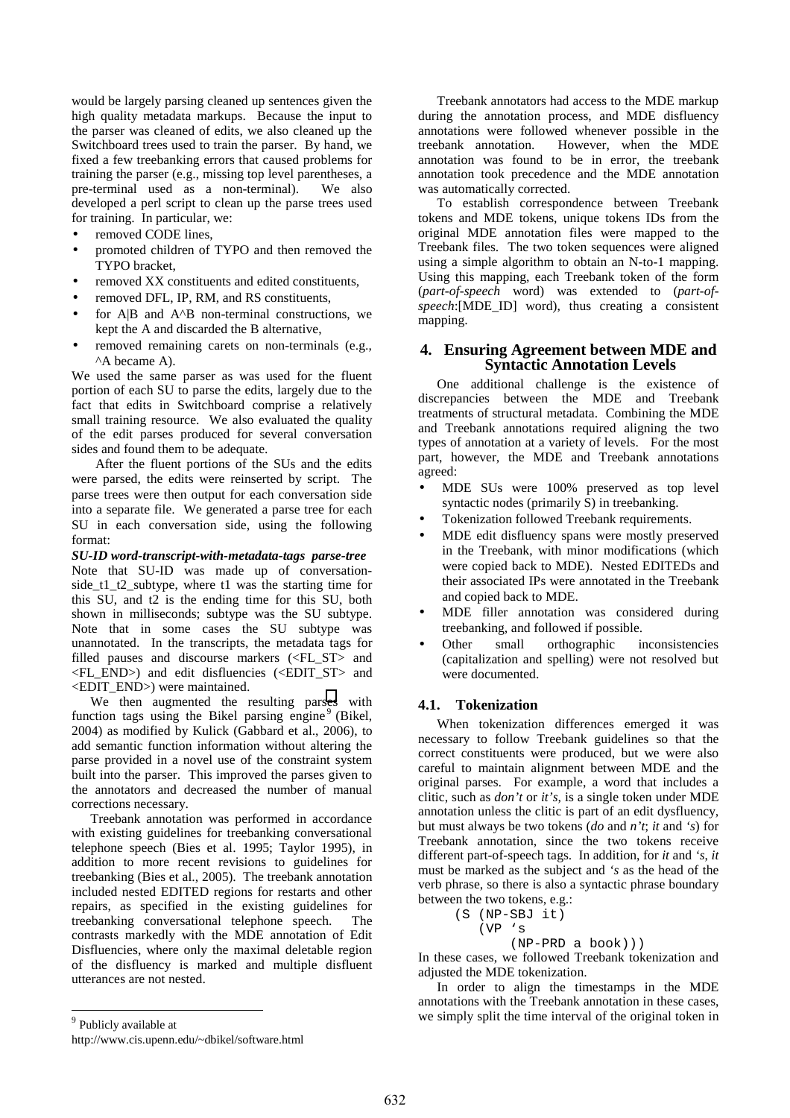would be largely parsing cleaned up sentences given the high quality metadata markups. Because the input to the parser was cleaned of edits, we also cleaned up the Switchboard trees used to train the parser. By hand, we fixed a few treebanking errors that caused problems for training the parser (e.g., missing top level parentheses, a pre-terminal used as a non-terminal). We also developed a perl script to clean up the parse trees used for training. In particular, we:

- removed CODE lines,
- promoted children of TYPO and then removed the TYPO bracket,
- removed XX constituents and edited constituents,
- removed DFL, IP, RM, and RS constituents,
- for  $A|B$  and  $A^{\wedge}B$  non-terminal constructions, we kept the A and discarded the B alternative,
- removed remaining carets on non-terminals (e.g., ^A became A).

We used the same parser as was used for the fluent portion of each SU to parse the edits, largely due to the fact that edits in Switchboard comprise a relatively small training resource. We also evaluated the quality of the edit parses produced for several conversation sides and found them to be adequate.

After the fluent portions of the SUs and the edits were parsed, the edits were reinserted by script. The parse trees were then output for each conversation side into a separate file. We generated a parse tree for each SU in each conversation side, using the following format:

*SU-ID word-transcript-with-metadata-tags parse-tree*  Note that SU-ID was made up of conversationside\_t1\_t2\_subtype, where t1 was the starting time for this SU, and t2 is the ending time for this SU, both shown in milliseconds; subtype was the SU subtype. Note that in some cases the SU subtype was unannotated. In the transcripts, the metadata tags for filled pauses and discourse markers (<FL\_ST> and <FL\_END>) and edit disfluencies (<EDIT\_ST> and <EDIT\_END>) were maintained.

We then augmented the resulting parses with function tags using the Bikel parsing engine<sup>9</sup> (Bikel, 2004) as modified by Kulick (Gabbard et al., 2006), to add semantic function information without altering the parse provided in a novel use of the constraint system built into the parser. This improved the parses given to the annotators and decreased the number of manual corrections necessary.

Treebank annotation was performed in accordance with existing guidelines for treebanking conversational telephone speech (Bies et al. 1995; Taylor 1995), in addition to more recent revisions to guidelines for treebanking (Bies et al., 2005). The treebank annotation included nested EDITED regions for restarts and other repairs, as specified in the existing guidelines for treebanking conversational telephone speech. The contrasts markedly with the MDE annotation of Edit Disfluencies, where only the maximal deletable region of the disfluency is marked and multiple disfluent utterances are not nested.

Treebank annotators had access to the MDE markup during the annotation process, and MDE disfluency annotations were followed whenever possible in the treebank annotation. However, when the MDE annotation was found to be in error, the treebank annotation took precedence and the MDE annotation was automatically corrected.

To establish correspondence between Treebank tokens and MDE tokens, unique tokens IDs from the original MDE annotation files were mapped to the Treebank files. The two token sequences were aligned using a simple algorithm to obtain an N-to-1 mapping. Using this mapping, each Treebank token of the form (*part-of-speech* word) was extended to (*part-ofspeech*:[MDE\_ID] word), thus creating a consistent mapping.

#### **4. Ensuring Agreement between MDE and Syntactic Annotation Levels**

One additional challenge is the existence of discrepancies between the MDE and Treebank treatments of structural metadata. Combining the MDE and Treebank annotations required aligning the two types of annotation at a variety of levels. For the most part, however, the MDE and Treebank annotations agreed:

- MDE SUs were 100% preserved as top level syntactic nodes (primarily S) in treebanking.
- Tokenization followed Treebank requirements.
- MDE edit disfluency spans were mostly preserved in the Treebank, with minor modifications (which were copied back to MDE). Nested EDITEDs and their associated IPs were annotated in the Treebank and copied back to MDE.
- MDE filler annotation was considered during treebanking, and followed if possible.
- Other small orthographic inconsistencies (capitalization and spelling) were not resolved but were documented.

### **4.1. Tokenization**

When tokenization differences emerged it was necessary to follow Treebank guidelines so that the correct constituents were produced, but we were also careful to maintain alignment between MDE and the original parses. For example, a word that includes a clitic, such as *don't* or *it's,* is a single token under MDE annotation unless the clitic is part of an edit dysfluency, but must always be two tokens (*do* and *n't*; *it* and *'s*) for Treebank annotation, since the two tokens receive different part-of-speech tags. In addition, for *it* and *'s*, *it* must be marked as the subject and *'s* as the head of the verb phrase, so there is also a syntactic phrase boundary between the two tokens, e.g.:

(S (NP-SBJ it) (VP 's

$$
(NP-PRD a book))
$$

In these cases, we followed Treebank tokenization and adjusted the MDE tokenization.

In order to align the timestamps in the MDE annotations with the Treebank annotation in these cases, we simply split the time interval of the original token in

<sup>9</sup> Publicly available at

http://www.cis.upenn.edu/~dbikel/software.html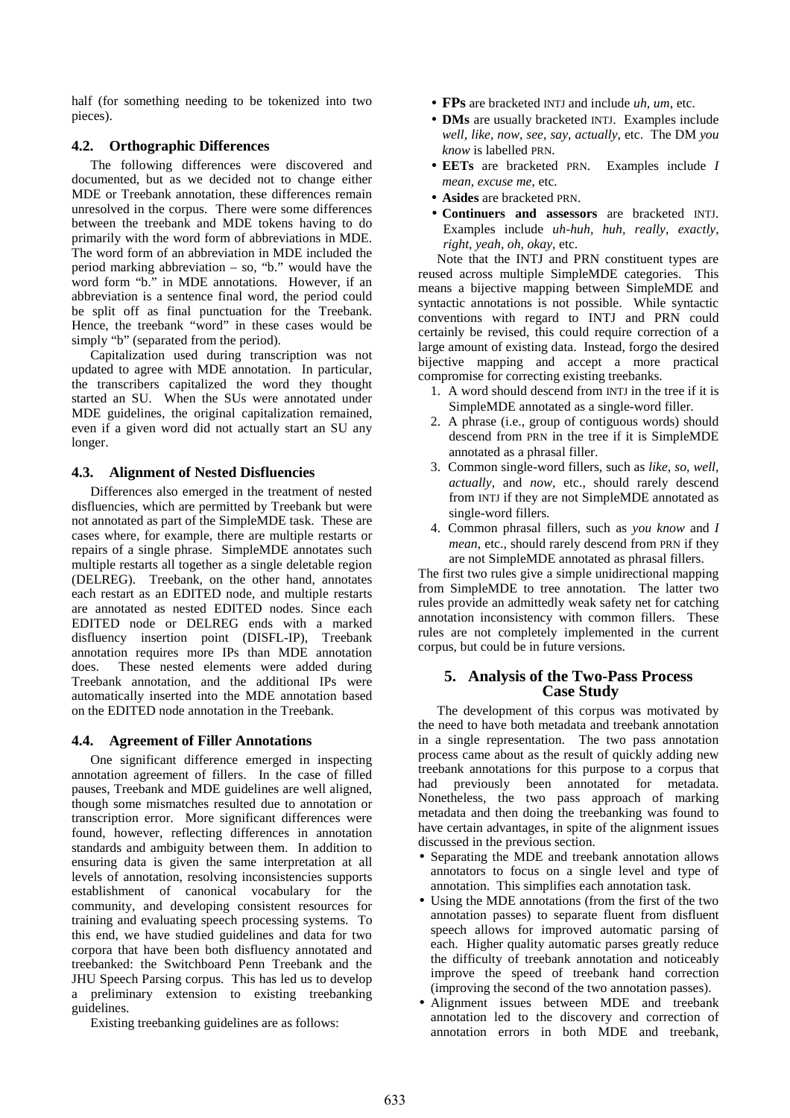half (for something needing to be tokenized into two pieces).

## **4.2. Orthographic Differences**

The following differences were discovered and documented, but as we decided not to change either MDE or Treebank annotation, these differences remain unresolved in the corpus. There were some differences between the treebank and MDE tokens having to do primarily with the word form of abbreviations in MDE. The word form of an abbreviation in MDE included the period marking abbreviation – so, "b." would have the word form "b." in MDE annotations. However, if an abbreviation is a sentence final word, the period could be split off as final punctuation for the Treebank. Hence, the treebank "word" in these cases would be simply "b" (separated from the period).

Capitalization used during transcription was not updated to agree with MDE annotation. In particular, the transcribers capitalized the word they thought started an SU. When the SUs were annotated under MDE guidelines, the original capitalization remained, even if a given word did not actually start an SU any longer.

## **4.3. Alignment of Nested Disfluencies**

Differences also emerged in the treatment of nested disfluencies, which are permitted by Treebank but were not annotated as part of the SimpleMDE task. These are cases where, for example, there are multiple restarts or repairs of a single phrase. SimpleMDE annotates such multiple restarts all together as a single deletable region (DELREG). Treebank, on the other hand, annotates each restart as an EDITED node, and multiple restarts are annotated as nested EDITED nodes. Since each EDITED node or DELREG ends with a marked disfluency insertion point (DISFL-IP), Treebank annotation requires more IPs than MDE annotation does. These nested elements were added during Treebank annotation, and the additional IPs were automatically inserted into the MDE annotation based on the EDITED node annotation in the Treebank.

# **4.4. Agreement of Filler Annotations**

One significant difference emerged in inspecting annotation agreement of fillers. In the case of filled pauses, Treebank and MDE guidelines are well aligned, though some mismatches resulted due to annotation or transcription error. More significant differences were found, however, reflecting differences in annotation standards and ambiguity between them. In addition to ensuring data is given the same interpretation at all levels of annotation, resolving inconsistencies supports establishment of canonical vocabulary for the community, and developing consistent resources for training and evaluating speech processing systems. To this end, we have studied guidelines and data for two corpora that have been both disfluency annotated and treebanked: the Switchboard Penn Treebank and the JHU Speech Parsing corpus. This has led us to develop a preliminary extension to existing treebanking guidelines.

Existing treebanking guidelines are as follows:

- **FPs** are bracketed INTJ and include *uh, um*, etc.
- **DMs** are usually bracketed INTJ. Examples include *well, like, now, see, say, actually*, etc. The DM *you know* is labelled PRN.
- **EETs** are bracketed PRN. Examples include *I mean, excuse me*, etc.
- **Asides** are bracketed PRN.
- **Continuers and assessors** are bracketed INTJ. Examples include *uh-huh, huh, really, exactly, right, yeah, oh, okay*, etc.

Note that the INTJ and PRN constituent types are reused across multiple SimpleMDE categories. This means a bijective mapping between SimpleMDE and syntactic annotations is not possible. While syntactic conventions with regard to INTJ and PRN could certainly be revised, this could require correction of a large amount of existing data. Instead, forgo the desired bijective mapping and accept a more practical compromise for correcting existing treebanks.

- 1. A word should descend from INTJ in the tree if it is SimpleMDE annotated as a single-word filler.
- 2. A phrase (i.e., group of contiguous words) should descend from PRN in the tree if it is SimpleMDE annotated as a phrasal filler.
- 3. Common single-word fillers, such as *like, so, well, actually*, and *now*, etc., should rarely descend from INTJ if they are not SimpleMDE annotated as single-word fillers.
- 4. Common phrasal fillers, such as *you know* and *I mean*, etc., should rarely descend from PRN if they are not SimpleMDE annotated as phrasal fillers.

The first two rules give a simple unidirectional mapping from SimpleMDE to tree annotation. The latter two rules provide an admittedly weak safety net for catching annotation inconsistency with common fillers. These rules are not completely implemented in the current corpus, but could be in future versions.

# **5. Analysis of the Two-Pass Process Case Study**

The development of this corpus was motivated by the need to have both metadata and treebank annotation in a single representation. The two pass annotation process came about as the result of quickly adding new treebank annotations for this purpose to a corpus that had previously been annotated for metadata. had previously been annotated for metadata. Nonetheless, the two pass approach of marking metadata and then doing the treebanking was found to have certain advantages, in spite of the alignment issues discussed in the previous section.

- Separating the MDE and treebank annotation allows annotators to focus on a single level and type of annotation. This simplifies each annotation task.
- Using the MDE annotations (from the first of the two annotation passes) to separate fluent from disfluent speech allows for improved automatic parsing of each. Higher quality automatic parses greatly reduce the difficulty of treebank annotation and noticeably improve the speed of treebank hand correction (improving the second of the two annotation passes).
- Alignment issues between MDE and treebank annotation led to the discovery and correction of annotation errors in both MDE and treebank,